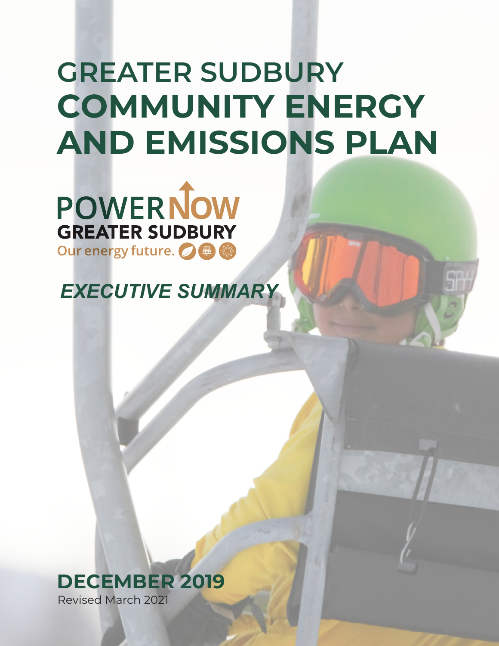# **GREATER SUDBURY COMMUNITY ENERGY AND EMISSIONS PLAN**

**POWERNOW GREATER SUDBURY** Our energy future. 2 <sup>4</sup> 《

*EXECUTIVE SUMMARY*

**DECEMBER 2019**

Revised March 2021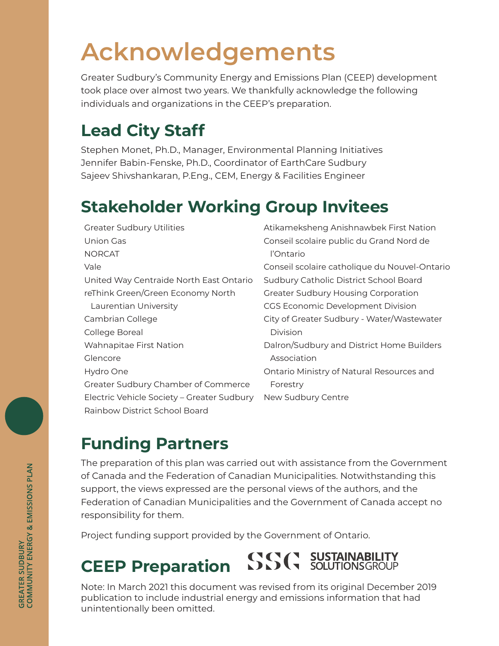## **Acknowledgements**

Greater Sudbury's Community Energy and Emissions Plan (CEEP) development took place over almost two years. We thankfully acknowledge the following individuals and organizations in the CEEP's preparation.

#### **Lead City Staff**

Stephen Monet, Ph.D., Manager, Environmental Planning Initiatives Jennifer Babin-Fenske, Ph.D., Coordinator of EarthCare Sudbury Sajeev Shivshankaran, P.Eng., CEM, Energy & Facilities Engineer

#### **Stakeholder Working Group Invitees**

| <b>Greater Sudbury Utilities</b>           | Atikameksheng Anishnawbek First Nation        |
|--------------------------------------------|-----------------------------------------------|
| Union Gas                                  | Conseil scolaire public du Grand Nord de      |
| <b>NORCAT</b>                              | l'Ontario                                     |
| Vale                                       | Conseil scolaire catholique du Nouvel-Ontario |
| United Way Centraide North East Ontario    | Sudbury Catholic District School Board        |
| reThink Green/Green Economy North          | Greater Sudbury Housing Corporation           |
| Laurentian University                      | CGS Economic Development Division             |
| Cambrian College                           | City of Greater Sudbury - Water/Wastewater    |
| College Boreal                             | Division                                      |
| <b>Wahnapitae First Nation</b>             | Dalron/Sudbury and District Home Builders     |
| Glencore                                   | Association                                   |
| Hydro One                                  | Ontario Ministry of Natural Resources and     |
| Greater Sudbury Chamber of Commerce        | Forestry                                      |
| Electric Vehicle Society - Greater Sudbury | New Sudbury Centre                            |
| Rainbow District School Board              |                                               |
|                                            |                                               |

### **Funding Partners**

The preparation of this plan was carried out with assistance from the Government of Canada and the Federation of Canadian Municipalities. Notwithstanding this support, the views expressed are the personal views of the authors, and the Federation of Canadian Municipalities and the Government of Canada accept no responsibility for them.

Project funding support provided by the Government of Ontario.

#### COCO SUSTAINABILITY **CEEP Preparation**

Note: In March 2021 this document was revised from its original December 2019 publication to include industrial energy and emissions information that had unintentionally been omitted.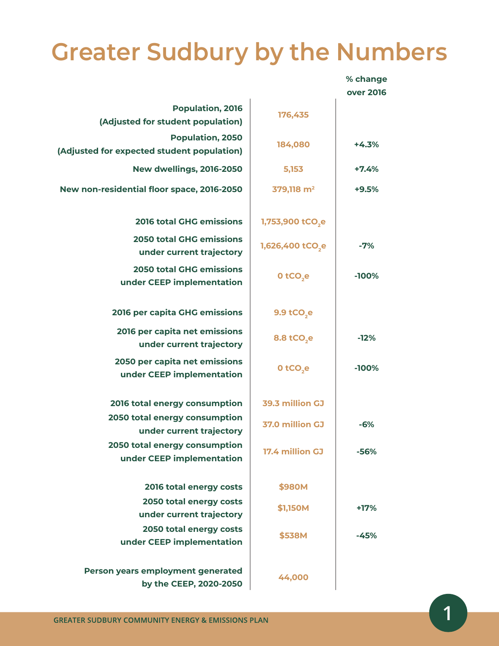### **Greater Sudbury by the Numbers**

|                                                                       |                              | % change         |
|-----------------------------------------------------------------------|------------------------------|------------------|
|                                                                       |                              | <b>over 2016</b> |
| <b>Population, 2016</b><br>(Adjusted for student population)          | 176,435                      |                  |
| <b>Population, 2050</b><br>(Adjusted for expected student population) | 184,080                      | $+4.3%$          |
| <b>New dwellings, 2016-2050</b>                                       | 5,153                        | $+7.4%$          |
| New non-residential floor space, 2016-2050                            | 379,118 m <sup>2</sup>       | $+9.5%$          |
| <b>2016 total GHG emissions</b>                                       | 1,753,900 tCO <sub>,e</sub>  |                  |
| <b>2050 total GHG emissions</b><br>under current trajectory           | 1,626,400 tCO <sub>2</sub> e | $-7%$            |
| <b>2050 total GHG emissions</b><br>under CEEP implementation          | 0 tCO <sub>,e</sub>          | $-100%$          |
| 2016 per capita GHG emissions                                         | 9.9 tCO <sub>2</sub> e       |                  |
| 2016 per capita net emissions<br>under current trajectory             | 8.8 tCO <sub>2</sub> e       | $-12%$           |
| 2050 per capita net emissions<br>under CEEP implementation            | 0 tCO <sub>se</sub>          | $-100%$          |
| 2016 total energy consumption                                         | 39.3 million GJ              |                  |
| 2050 total energy consumption<br>under current trajectory             | 37.0 million GJ              | $-6%$            |
| 2050 total energy consumption<br>under CEEP implementation            | 17.4 million GJ              | $-56%$           |
| 2016 total energy costs                                               | \$980M                       |                  |
| 2050 total energy costs<br>under current trajectory                   | \$1,150M                     | +17%             |
| 2050 total energy costs<br>under CEEP implementation                  | \$538M                       | -45%             |
| Person years employment generated<br>by the CEEP, 2020-2050           | 44,000                       |                  |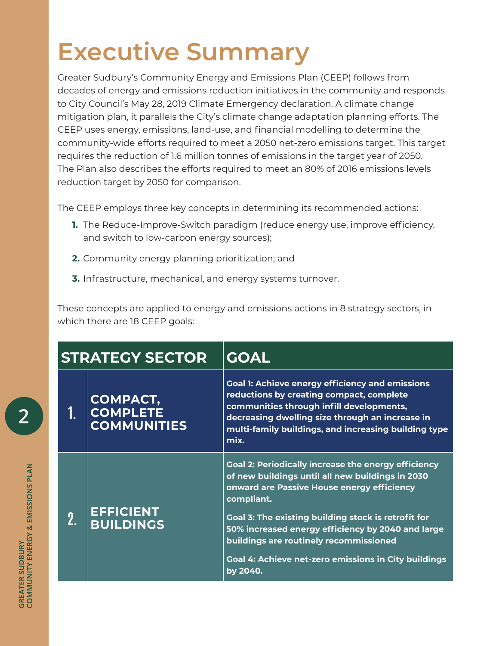## **Executive Summary**

Greater Sudbury's Community Energy and Emissions Plan (CEEP) follows from decades of energy and emissions reduction initiatives in the community and responds to City Council's May 28, 2019 Climate Emergency declaration. A climate change mitigation plan, it parallels the City's climate change adaptation planning efforts. The CEEP uses energy, emissions, land-use, and financial modelling to determine the community-wide efforts required to meet a 2050 net-zero emissions target. This target requires the reduction of 1.6 million tonnes of emissions in the target year of 2050. The Plan also describes the efforts required to meet an 80% of 2016 emissions levels reduction target by 2050 for comparison.

The CEEP employs three key concepts in determining its recommended actions:

- **1.** The Reduce-Improve-Switch paradigm (reduce energy use, improve efficiency, and switch to low-carbon energy sources);
- **2.** Community energy planning prioritization; and
- **3.** Infrastructure, mechanical, and energy systems turnover.

These concepts are applied to energy and emissions actions in 8 strategy sectors, in which there are 18 CEEP goals:

| <b>STRATEGY SECTOR</b> |                                                          | <b>GOAL</b>                                                                                                                                                                                                                                                                                                                                                                                                 |
|------------------------|----------------------------------------------------------|-------------------------------------------------------------------------------------------------------------------------------------------------------------------------------------------------------------------------------------------------------------------------------------------------------------------------------------------------------------------------------------------------------------|
|                        | <b>COMPACT,</b><br><b>COMPLETE</b><br><b>COMMUNITIES</b> | <b>Goal 1: Achieve energy efficiency and emissions</b><br>reductions by creating compact, complete<br>communities through infill developments,<br>decreasing dwelling size through an increase in<br>multi-family buildings, and increasing building type<br>mix.                                                                                                                                           |
| 2.                     | <b>EFFICIENT</b><br><b>BUILDINGS</b>                     | <b>Goal 2: Periodically increase the energy efficiency</b><br>of new buildings until all new buildings in 2030<br>onward are Passive House energy efficiency<br>compliant.<br>Goal 3: The existing building stock is retrofit for<br>50% increased energy efficiency by 2040 and large<br>buildings are routinely recommissioned<br><b>Goal 4: Achieve net-zero emissions in City buildings</b><br>by 2040. |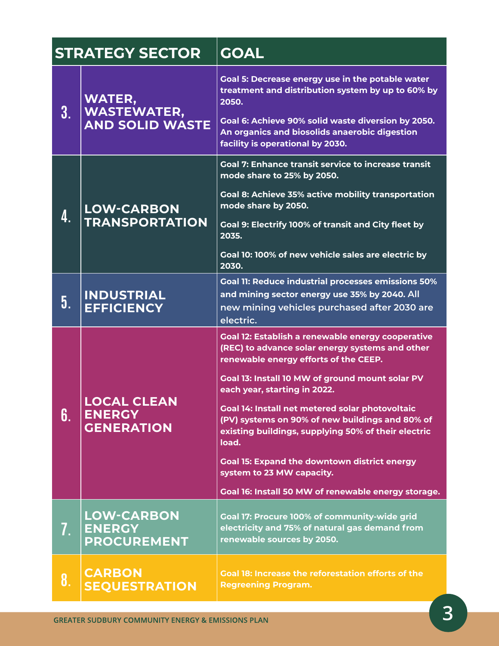|    | <b>STRATEGY SECTOR</b>                                        | <b>GOAL</b>                                                                                                                                                                                                                                                                                                                                                                                                                                                                                                                                              |
|----|---------------------------------------------------------------|----------------------------------------------------------------------------------------------------------------------------------------------------------------------------------------------------------------------------------------------------------------------------------------------------------------------------------------------------------------------------------------------------------------------------------------------------------------------------------------------------------------------------------------------------------|
| 3. | <b>WATER,</b><br><b>WASTEWATER,</b><br><b>AND SOLID WASTE</b> | Goal 5: Decrease energy use in the potable water<br>treatment and distribution system by up to 60% by<br>2050.<br>Goal 6: Achieve 90% solid waste diversion by 2050.<br>An organics and biosolids anaerobic digestion<br>facility is operational by 2030.                                                                                                                                                                                                                                                                                                |
| 4. | <b>LOW-CARBON</b><br><b>TRANSPORTATION</b>                    | <b>Goal 7: Enhance transit service to increase transit</b><br>mode share to 25% by 2050.<br>Goal 8: Achieve 35% active mobility transportation<br>mode share by 2050.<br><b>Goal 9: Electrify 100% of transit and City fleet by</b><br>2035.<br>Goal 10: 100% of new vehicle sales are electric by<br>2030.                                                                                                                                                                                                                                              |
| 5. | <b>INDUSTRIAL</b><br><b>EFFICIENCY</b>                        | <b>Goal 11: Reduce industrial processes emissions 50%</b><br>and mining sector energy use 35% by 2040. All<br>new mining vehicles purchased after 2030 are<br>electric.                                                                                                                                                                                                                                                                                                                                                                                  |
| 6. | <b>LOCAL CLEAN</b><br><b>ENERGY</b><br><b>GENERATION</b>      | <b>Goal 12: Establish a renewable energy cooperative</b><br>(REC) to advance solar energy systems and other<br>renewable energy efforts of the CEEP.<br>Goal 13: Install 10 MW of ground mount solar PV<br>each year, starting in 2022.<br>Goal 14: Install net metered solar photovoltaic<br>(PV) systems on 90% of new buildings and 80% of<br>existing buildings, supplying 50% of their electric<br>load.<br><b>Goal 15: Expand the downtown district energy</b><br>system to 23 MW capacity.<br>Goal 16: Install 50 MW of renewable energy storage. |
| 7. | <b>LOW-CARBON</b><br><b>ENERGY</b><br><b>PROCUREMENT</b>      | Goal 17: Procure 100% of community-wide grid<br>electricity and 75% of natural gas demand from<br>renewable sources by 2050.                                                                                                                                                                                                                                                                                                                                                                                                                             |
| 8. | <b>CARBON</b><br><b>SEQUESTRATION</b>                         | <b>Goal 18: Increase the reforestation efforts of the</b><br><b>Regreening Program.</b>                                                                                                                                                                                                                                                                                                                                                                                                                                                                  |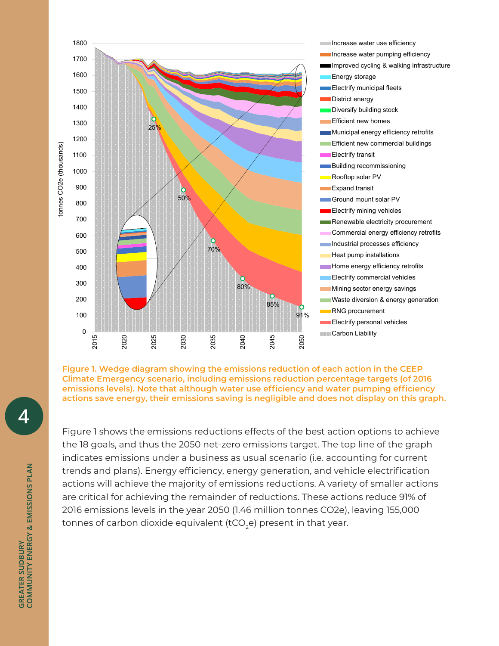

**Figure 1. Wedge diagram showing the emissions reduction of each action in the CEEP Climate Emergency scenario, including emissions reduction percentage targets (of 2016 emissions levels). Note that although water use efficiency and water pumping efficiency actions save energy, their emissions saving is negligible and does not display on this graph.** 

Figure 1 shows the emissions reductions effects of the best action options to achieve the 18 goals, and thus the 2050 net-zero emissions target. The top line of the graph indicates emissions under a business as usual scenario (i.e. accounting for current trends and plans). Energy efficiency, energy generation, and vehicle electrification actions will achieve the majority of emissions reductions. A variety of smaller actions are critical for achieving the remainder of reductions. These actions reduce 91% of 2016 emissions levels in the year 2050 (1.46 million tonnes CO2e), leaving 155,000 tonnes of carbon dioxide equivalent (tCO<sub>2</sub>e) present in that year.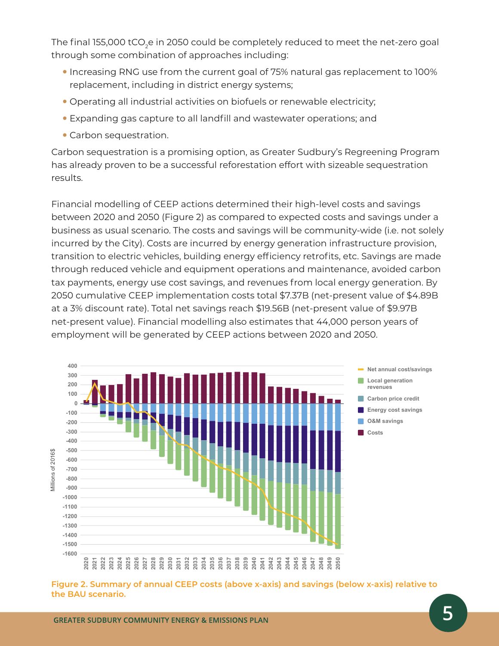The final 155,000 tCO<sub>2</sub>e in 2050 could be completely reduced to meet the net-zero goal through some combination of approaches including:

- y Increasing RNG use from the current goal of 75% natural gas replacement to 100% replacement, including in district energy systems;
- Operating all industrial activities on biofuels or renewable electricity;
- Expanding gas capture to all landfill and wastewater operations; and
- Carbon sequestration.

Carbon sequestration is a promising option, as Greater Sudbury's Regreening Program has already proven to be a successful reforestation effort with sizeable sequestration results.

Financial modelling of CEEP actions determined their high-level costs and savings between 2020 and 2050 (Figure 2) as compared to expected costs and savings under a business as usual scenario. The costs and savings will be community-wide (i.e. not solely incurred by the City). Costs are incurred by energy generation infrastructure provision, transition to electric vehicles, building energy efficiency retrofits, etc. Savings are made through reduced vehicle and equipment operations and maintenance, avoided carbon tax payments, energy use cost savings, and revenues from local energy generation. By 2050 cumulative CEEP implementation costs total \$7.37B (net-present value of \$4.89B at a 3% discount rate). Total net savings reach \$19.56B (net-present value of \$9.97B net-present value). Financial modelling also estimates that 44,000 person years of employment will be generated by CEEP actions between 2020 and 2050.



**Figure 2. Summary of annual CEEP costs (above x-axis) and savings (below x-axis) relative to**